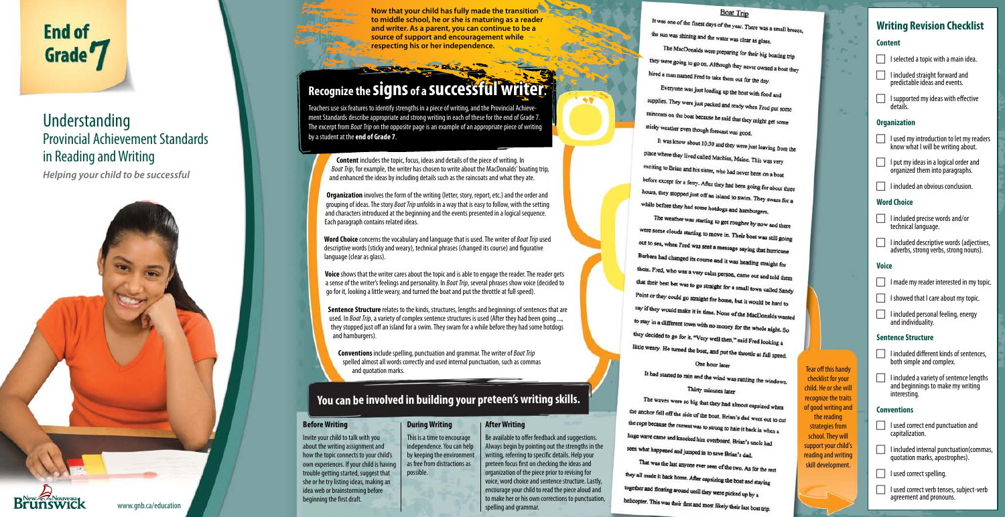*Helping your child to be successful*



# Understanding Provincial Achievement Standards in Reading and Writing

agreement and pronouns.

**Content** includes the topic, focus, ideas and details of the piece of writing. In *Boat Trip*, for example, the writer has chosen to write about the MacDonalds' boating trip, and enhanced the ideas by including details such as the raincoats and what they ate.

Invite your child to talk with you about the writing assignment and how the topic connects to your child's own experiences. If your child is having trouble getting started, suggest that she or he try listing ideas, making an idea web or brainstorming before beginning the first draft.

والمحاملة سنجتش

**Organization** involves the form of the writing (letter, story, report, etc.) and the order and grouping of ideas. The story *Boat Trip* unfolds in a way that is easy to follow, with the setting and characters introduced at the beginning and the events presented in a logical sequence. Each paragraph contains related ideas.

**Word Choice** concerns the vocabulary and language that is used. The writer of *Boat Trip* used descriptive words (sticky and weary), technical phrases (changed its course) and figurative language (clear as glass).

> Be available to offer feedback and suggestions. Always begin by pointing out the strengths in the writing, referring to specific details. Help your preteen focus first on checking the ideas and organization of the piece prior to revising for voice, word choice and sentence structure. Lastly, encourage your child to read the piece aloud and to make her or his own corrections to punctuation, spelling and grammar.

It was one of the finest days of the year. There was a small breeze, the sun was shining and the water was clear as glass. The MacDonalds were preparing for their big boating trip they were going to go on. Although they never owned a boat they hired a man named Fred to take them out for the day. Everyone was just loading up the boat with food and supplies. They were just packed and ready when Fred put some raincoats on the boat because he said that they might get some sticky weather even though forecast was good.

 $\bullet$ 

place where they lived called Machias, Maine. This was very exciting to Brian and his sister, who had never been on a boat before except for a ferry. After they had been going for about three<br>hours they start as a start of the start of the start of the start of the start of the start of the start of the start of the start of the start of the s hours, they stopped just off an island to swim. They swam for a while before they had some hotdogs and hamburgers.

The weather was starting to get rougher by now and there were some clouds starting to move in. Their boat was still going out to sea, when Fred was sent a message saying that hurricane Barbara had changed its course and it was heading straight for them. Fred, who was a very calm person, came out and told them that their best bet was to go straight for a small town called Sandy Point or they could go straight for home, but it would be hard to say if they would make it in time. None of the MacDonalds wanted to stay in a different town with no money for the whole night. So they decided to go for it. "Very well then," said Fred looking a little weary. He turned the boat, and put the throttle at full speed. One hour later

It had started to rain and the wind was rattling the windows. Thirty minutes later

The waves were so big that they had almost capsized when the anchor fell off the side of the boat. Brian's dad went out to cut the rope because the current was to strong to hale it back in when a huge wave came and knocked him overboard. Brian's uncle had seen what happened and jumped in to save Brian's dad. That was the last anyone ever seen of the two. As for the rest

they all made it back home. After capsizing the boat and staying together and floating around until they were picked up by a helicopter. This was their first and most likely their last boat trip.

# **Boat Trip Writing Revision Checklist Content**  $\Box$  I selected a topic with a main idea.  $\Box$  I included straight forward and predictable ideas and events.  $\Box$  I supported my ideas with effective details. ×. **Organization I** used my introduction to let my readers It was know about 10:30 and they were just leaving from the know what I will be writing about. **I** put my ideas in a logical order and organized them into paragraphs.  $\Box$  I included an obvious conclusion. **Word Choice** I included precise words and/or technical language.  $\Box$  I included descriptive words (adjectives, adverbs, strong verbs, strong nouns). **Voice** I made my reader interested in my topic.  $\Box$  I showed that I care about my topic. I included personal feeling, energy and individuality. **Sentence Structure**  $\Box$  I included different kinds of sentences, both simple and complex. Tear off this handy checklist for your  $\Box$  I included a variety of sentence lengths and beginnings to make my writing child. He or she will interesting. recognize the traits of good writing and **Conventions** the reading strategies from | | lused correct end punctuation and capitalization. school. They will support your child's  $\Box$  I included internal punctuation (commas, reading and writing quotation marks, apostrophes). skill development.  $\Box$  I used correct spelling. **I used correct verb tenses, subject-verb**

**Voice** shows that the writer cares about the topic and is able to engage the reader. The reader gets a sense of the writer's feelings and personality. In *Boat Trip*, several phrases show voice (decided to go for it, looking a little weary, and turned the boat and put the throttle at full speed).

**Sentence Structure** relates to the kinds, structures, lengths and beginnings of sentences that are used. In *Boat Trip*, a variety of complex sentence structures is used (After they had been going ..., they stopped just off an island for a swim. They swam for a while before they had some hotdogs and hamburgers).

**Conventions** include spelling, punctuation and grammar. The writer of *Boat Trip* spelled almost all words correctly and used internal punctuation, such as commas and quotation marks.

Teachers use six features to identify strengths in a piece of writing, and the Provincial Achieve ment Standards describe appropriate and strong writing in each of these for the end of Grade 7. The excerpt from *Boat Trip* on the opposite page is an example of an appropriate piece of writing by a student at the **end of Grade 7**

**Now that your child has fully made the transition to middle school, he or she is maturing as a reader and writer. As a parent, you can continue to be a source of support and encouragement while respecting his or her independence.**

# **Recognize the signs of a successful writer writer.**

### **Before Writing**

**After Writing**

# **You can be involved in building your preteen's writing skills.**

# **During Writing**

This is a time to encourage independence. You can help by keeping the environment as free from distractions as possible.